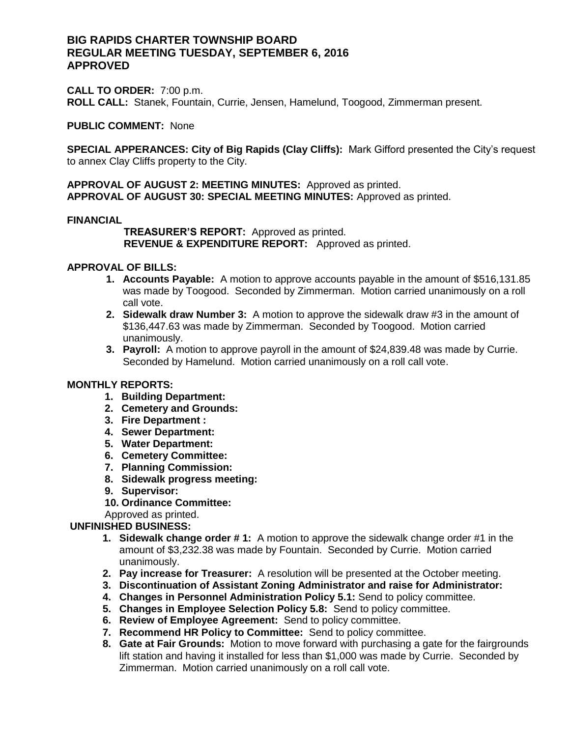# **BIG RAPIDS CHARTER TOWNSHIP BOARD REGULAR MEETING TUESDAY, SEPTEMBER 6, 2016 APPROVED**

**CALL TO ORDER:** 7:00 p.m. **ROLL CALL:** Stanek, Fountain, Currie, Jensen, Hamelund, Toogood, Zimmerman present.

#### **PUBLIC COMMENT:** None

**SPECIAL APPERANCES: City of Big Rapids (Clay Cliffs):** Mark Gifford presented the City's request to annex Clay Cliffs property to the City.

**APPROVAL OF AUGUST 2: MEETING MINUTES:** Approved as printed. **APPROVAL OF AUGUST 30: SPECIAL MEETING MINUTES:** Approved as printed.

#### **FINANCIAL**

 **TREASURER'S REPORT:** Approved as printed.  **REVENUE & EXPENDITURE REPORT:** Approved as printed.

## **APPROVAL OF BILLS:**

- **1. Accounts Payable:** A motion to approve accounts payable in the amount of \$516,131.85 was made by Toogood. Seconded by Zimmerman. Motion carried unanimously on a roll call vote.
- **2. Sidewalk draw Number 3:** A motion to approve the sidewalk draw #3 in the amount of \$136,447.63 was made by Zimmerman. Seconded by Toogood. Motion carried unanimously.
- **3. Payroll:** A motion to approve payroll in the amount of \$24,839.48 was made by Currie. Seconded by Hamelund. Motion carried unanimously on a roll call vote.

### **MONTHLY REPORTS:**

- **1. Building Department:**
- **2. Cemetery and Grounds:**
- **3. Fire Department :**
- **4. Sewer Department:**
- **5. Water Department:**
- **6. Cemetery Committee:**
- **7. Planning Commission:**
- **8. Sidewalk progress meeting:**
- **9. Supervisor:**
- **10. Ordinance Committee:**

Approved as printed.

# **UNFINISHED BUSINESS:**

- **1. Sidewalk change order # 1:** A motion to approve the sidewalk change order #1 in the amount of \$3,232.38 was made by Fountain. Seconded by Currie. Motion carried unanimously.
- **2. Pay increase for Treasurer:** A resolution will be presented at the October meeting.
- **3. Discontinuation of Assistant Zoning Administrator and raise for Administrator:**
- **4. Changes in Personnel Administration Policy 5.1:** Send to policy committee.
- **5. Changes in Employee Selection Policy 5.8:** Send to policy committee.
- **6. Review of Employee Agreement:** Send to policy committee.
- **7. Recommend HR Policy to Committee:** Send to policy committee.
- **8. Gate at Fair Grounds:** Motion to move forward with purchasing a gate for the fairgrounds lift station and having it installed for less than \$1,000 was made by Currie. Seconded by Zimmerman. Motion carried unanimously on a roll call vote.